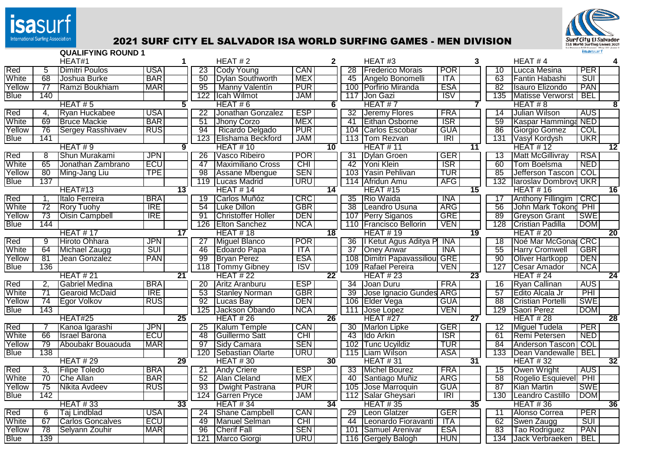

## International Surfing Association **2021 SURF CITY EL SALVADOR ISA WORLD SURFING GAMES - MEN DIVISION**



|             |                 | <b>QUALIFYING ROUND 1</b> |            |                 |                 |                           |                         |                 |                 |                                 |                          |                 |                 |                              | <b>isasurf</b>          |                 |
|-------------|-----------------|---------------------------|------------|-----------------|-----------------|---------------------------|-------------------------|-----------------|-----------------|---------------------------------|--------------------------|-----------------|-----------------|------------------------------|-------------------------|-----------------|
|             |                 | HEAT#1                    |            | 1               |                 | HEAT#2                    |                         | $\mathbf{2}$    |                 | HEAT#3                          |                          | 3               |                 | HEAT#4                       |                         |                 |
| Red         | 5               | Dimitri Poulos            | USA        |                 | 23              | Cody Young                | CAN                     |                 | $\overline{28}$ | <b>Frederico Morais</b>         | POR                      |                 | 10              | Lucca Mesina                 | PER                     |                 |
| White       | $\overline{68}$ | Joshua Burke              | <b>BAR</b> |                 | 50              | <b>Dylan Southworth</b>   | <b>MEX</b>              |                 |                 | 45 Angelo Bonomelli             | ITA                      |                 | $\overline{63}$ | Fantin Habashi               | $\overline{\text{SUI}}$ |                 |
| Yellow      | 77              | Ramzi Boukhiam            | <b>MAR</b> |                 | 95              | Manny Valentín            | $P\overline{UR}$        |                 |                 | 100 Porfirio Miranda            | <b>ESA</b>               |                 | $\overline{82}$ | Isauro Elizondo              | PAN                     |                 |
| <b>Blue</b> | 140             |                           |            |                 | 122             | Icah Wilmot               | JAM                     |                 |                 | 117 Jon Gazi                    | ISV                      |                 | 135             | <b>Matisse Verworst</b>      | <b>BEL</b>              |                 |
|             |                 | HEAT#5                    |            | 5               |                 | HEAT#6                    |                         | 6               |                 | HEAT#7                          |                          |                 |                 | HEAT#8                       |                         |                 |
| Red         | 4.              | Ryan Huckabee             | <b>USA</b> |                 | $\overline{22}$ | Jonathan Gonzalez         | <b>ESP</b>              |                 | 32              | <b>Jeremy Flores</b>            | <b>FRA</b>               |                 | 14              | Julian Wilson                | <b>AUS</b>              |                 |
| White       | 69              | <b>Bruce Mackie</b>       | <b>BAR</b> |                 | 51              | Jhony Corzo               | <b>MEX</b>              |                 | 41              | <b>Eithan Osborne</b>           | <b>ISR</b>               |                 | 59              | Kaspar Hamminga NED          |                         |                 |
| Yellow      | 76              | <b>Sergey Rasshivaev</b>  | <b>RUS</b> |                 | 94              | Ricardo Delgado           | <b>PUR</b>              |                 |                 | 104 Carlos Escobar              | <b>GUA</b>               |                 | 86              | Giorgio Gomez                | <b>COL</b>              |                 |
| <b>Blue</b> | 141             |                           |            |                 | 123             | Elishama Beckford         | <b>JAM</b>              |                 |                 | 113 Tom Rezvan                  | $\overline{IR}$          |                 | 131             | Vasyl Kordysh                | <b>UKR</b>              |                 |
|             |                 | HEAT#9                    |            | 9               |                 | <b>HEAT #10</b>           |                         | 10              |                 | <b>HEAT #11</b>                 |                          | 11              |                 | <b>HEAT #12</b>              |                         | 12              |
| Red         | 8               | Shun Murakami             | <b>JPN</b> |                 | $\overline{26}$ | Vasco Ribeiro             | <b>POR</b>              |                 | 31              | Dylan Groen                     | <b>GER</b>               |                 | 13              | <b>Matt McGillivray</b>      | <b>RSA</b>              |                 |
| White       | 65              | Jonathan Zambrano         | <b>ECU</b> |                 | 47              | <b>Maximiliano Cross</b>  | CHI                     |                 | 42              | Yoni Klein                      | <b>ISR</b>               |                 | 60              | Tom Boelsma                  | <b>NED</b>              |                 |
| Yellow      | 80              | Ming-Jang Liu             | <b>TPE</b> |                 | 98              | Assane Mbengue            | <b>SEN</b>              |                 | 103             | Yasin Pehlivan                  | <b>TUR</b>               |                 | 85              | Jefferson Tascon             | COL                     |                 |
| Blue        | 137             |                           |            |                 | 119             | <b>Lucas Madrid</b>       | <b>URU</b>              |                 |                 | 114 Afridun Amu                 | AFG                      |                 | 132             | <b>Iaroslav Dombrovs UKR</b> |                         |                 |
|             |                 | HEAT#13                   |            | $\overline{13}$ |                 | <b>HEAT #14</b>           |                         | 14              |                 | <b>HEAT #15</b>                 |                          | 15              |                 | <b>HEAT #16</b>              |                         | 16              |
| Red         | 1.              | Italo Ferreira            | <b>BRA</b> |                 | $\overline{19}$ | Carlos Muñóz              | $\overline{\text{CRC}}$ |                 | $\overline{35}$ | Rio Waida                       | <b>INA</b>               |                 | 17              | <b>Anthony Fillingim</b>     | $\overline{\text{CRC}}$ |                 |
| White       | 72              | <b>Rory Tuohy</b>         | <b>IRE</b> |                 | 54              | Luke Dillon               | GBR                     |                 | $\overline{38}$ | Leandro Usuna                   | <b>ARG</b>               |                 | $\overline{56}$ | John Mark Tokong             | $\overline{PHI}$        |                 |
| Yellow      | 73              | <b>Oisin Campbell</b>     | <b>IRE</b> |                 | 91              | <b>Christoffer Holler</b> | <b>DEN</b>              |                 | 107             | <b>Perry Siganos</b>            | <b>GRE</b>               |                 | $\overline{89}$ | <b>Greyson Grant</b>         | <b>SWE</b>              |                 |
| Blue        | 144             |                           |            |                 | 126             | <b>Elton Sanchez</b>      | <b>NCA</b>              |                 |                 | 110 Francisco Bellorin          | <b>VEN</b>               |                 | 128             | <b>Cristian Padilla</b>      | <b>DOM</b>              |                 |
|             |                 | <b>HEAT #17</b>           |            | $\overline{17}$ |                 | HEAT #18                  |                         | $\overline{18}$ |                 | <b>HEAT #19</b>                 |                          | 19              |                 | <b>HEAT #20</b>              |                         | $\overline{20}$ |
| Red         | $\overline{9}$  | Hiroto Ohhara             | <b>JPN</b> |                 | 27              | Miguel Blanco             | <b>POR</b>              |                 | 36              | I Ketut Agus Aditya P           | - INA                    |                 | 18              | Noé Mar McGona CRC           |                         |                 |
| White       | 64              | Michael Zaugg             | <b>SUI</b> |                 | 46              | Edoardo Papa              | <b>ITA</b>              |                 | 37              | <b>Oney Anwar</b>               | <b>INA</b>               |                 | 55              | <b>Harry Cromwell</b>        | <b>GBR</b>              |                 |
| Yellow      | -81             | Jean Gonzalez             | <b>PAN</b> |                 | 99              | <b>Bryan Perez</b>        | <b>ESA</b>              |                 |                 | 108   Dimitri Papavassiliou GRE |                          |                 | 90              | Oliver Hartkopp              | <b>DEN</b>              |                 |
| Blue        | 136             |                           |            |                 | 118             | <b>Tommy Gibney</b>       | $\overline{\text{ISV}}$ |                 |                 | 109 Rafael Pereira              | <b>VEN</b>               |                 | 127             | <b>Cesar Amador</b>          | <b>NCA</b>              |                 |
|             |                 | <b>HEAT #21</b>           |            | $\overline{21}$ |                 | <b>HEAT #22</b>           |                         | $\overline{22}$ |                 | <b>HEAT #23</b>                 |                          | $\overline{23}$ |                 | <b>HEAT #24</b>              |                         | $\overline{24}$ |
| Red         | 2,              | <b>Gabriel Medina</b>     | <b>BRA</b> |                 | 20              | Aritz Aranburu            | <b>ESP</b>              |                 | 34              | Joan Duru                       | <b>FRA</b>               |                 | 16              | Ryan Callinan                | <b>AUS</b>              |                 |
| White       | 71              | Gearoid McDaid            | <b>IRE</b> |                 | 53              | <b>Stanley Norman</b>     | <b>GBR</b>              |                 | 39              | Jose Ignacio Gundes ARG         |                          |                 | 57              | Edito Alcala Jr              | PHI                     |                 |
| Yellow      | 74              | Egor Volkov               | <b>RUS</b> |                 | 92              | Lucas Bay                 | <b>DEN</b>              |                 | 106             | Elder Vega                      | <b>GUA</b>               |                 | 88              | <b>Cristian Portelli</b>     | <b>SWE</b>              |                 |
| <b>Blue</b> | 143             |                           |            |                 | 125             | Jackson Obando            | <b>NCA</b>              |                 |                 | 111 Jose Lopez                  | <b>VEN</b>               |                 | 129             | Saori Perez                  | <b>DOM</b>              |                 |
|             |                 | HEAT#25                   |            | 25              |                 | <b>HEAT #26</b>           |                         | 26              |                 | HEAT #27                        |                          | $\overline{27}$ |                 | <b>HEAT #28</b>              |                         | 28              |
| Red         |                 | Kanoa Igarashi            | <b>JPN</b> |                 | $\overline{25}$ | Kalum Temple              | <b>CAN</b>              |                 | 30              | <b>Marlon Lipke</b>             | GER                      |                 | 12              | Miguel Tudela                | PER                     |                 |
| White       | 66              | <b>Israel Barona</b>      | <b>ECU</b> |                 | $\overline{48}$ | Guillermo Satt            | CHI                     |                 | 43              | Ido Arkin                       | $\overline{\text{ISR}}$  |                 | 61              | Remi Petersen                | <b>NED</b>              |                 |
| Yellow      | $\overline{79}$ | Aboubakr Bouaouda         | <b>MAR</b> |                 | 97              | Sidy Camara               | <b>SEN</b>              |                 | 102             | <b>Tunc Ucyildiz</b>            | <b>TUR</b>               |                 | 84              | Anderson Tascon              | <b>COL</b>              |                 |
| <b>Blue</b> | 138             |                           |            |                 | 120             | <b>Sebastian Olarte</b>   | URU                     |                 |                 | 115 Liam Wilson                 | <b>ASA</b>               |                 | 133             | Dean Vandewalle              | <b>BEL</b>              |                 |
|             |                 | <b>HEAT #29</b>           |            | 29              |                 | <b>HEAT #30</b>           |                         | 30              |                 | <b>HEAT #31</b>                 |                          | 31              |                 | <b>HEAT #32</b>              |                         | 32              |
| Red         | 3,              | <b>Filipe Toledo</b>      | <b>BRA</b> |                 | 21              | <b>Andy Criere</b>        | <b>ESP</b>              |                 | 33              | Michel Bourez                   | <b>FRA</b>               |                 | 15              | Owen Wright                  | <b>AUS</b>              |                 |
| White       | 70              | Che Allan                 | <b>BAR</b> |                 | 52              | Alan Cleland              | MEX                     |                 | 40              | Santiago Muñiz                  | <b>ARG</b>               |                 | 58              | Rogelio Esquievel            | PHI                     |                 |
| Yellow      | 75              | Nikita Avdeev             | RUS        |                 | 93              | Dwight Pastrana           | $P\overline{\text{UR}}$ |                 |                 | 105 Jose Marroquin              | <b>GUA</b>               |                 | 87              | Kian Martin                  | <b>SWE</b>              |                 |
| <b>Blue</b> | 142             |                           |            |                 | 124             | <b>Garren Pryce</b>       | <b>JAM</b>              |                 |                 | 112   Salar Gheysari            | $\overline{\mathsf{IR}}$ |                 | 130             | Leandro Castillo             | <b>DOM</b>              |                 |
|             |                 | <b>HEAT #33</b>           |            | 33              |                 | <b>HEAT #34</b>           |                         | 34              |                 | <b>HEAT #35</b>                 |                          | 35              |                 | <b>HEAT #36</b>              |                         | 36              |
| Red         | 6               | Taj Lindblad              | <b>USA</b> |                 | $\overline{24}$ | <b>Shane Campbell</b>     | CAN                     |                 | $\overline{29}$ | Leon Glatzer                    | <b>GER</b>               |                 | 11              | Alonso Correa                | <b>PER</b>              |                 |
| White       | 67              | <b>Carlos Goncalves</b>   | <b>ECU</b> |                 | 49              | <b>Manuel Selman</b>      | <b>CHI</b>              |                 | 44              | Leonardo Fioravanti             | - ITA                    |                 | 62              | Swen Zaugg                   | <b>SUI</b>              |                 |
| Yellow      | 78              | Selyann Zouhir            | <b>MAR</b> |                 | 96              | <b>Cherif Fall</b>        | <b>SEN</b>              |                 | 101             | Samuel Arenivar                 | <b>ESA</b>               |                 | 83              | Tao Rodriguez                | <b>PAN</b>              |                 |
| <b>Blue</b> | 139             |                           |            |                 | 121             | <b>Marco Giorgi</b>       | <b>URU</b>              |                 |                 | 116 Gergely Balogh              | <b>HUN</b>               |                 | 134             | Jack Verbraeken              | <b>BEL</b>              |                 |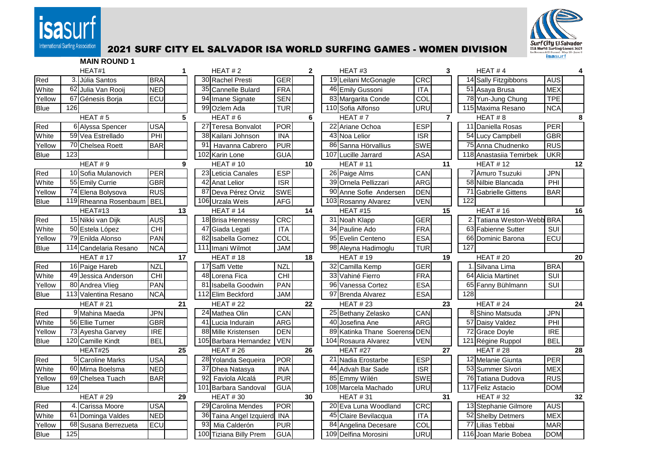



## International Surfing Association 2021 SURF CITY EL SALVADOR ISA WORLD SURFING GAMES - WOMEN DIVISION

|             |     | <b>MAIN ROUND 1</b>   |            |    |                 |                          |                         |    |                          |                           |                |     |                         |            |    |
|-------------|-----|-----------------------|------------|----|-----------------|--------------------------|-------------------------|----|--------------------------|---------------------------|----------------|-----|-------------------------|------------|----|
|             |     | HEAT#1                |            |    |                 | HEAT $#2$                |                         | 2  | HEAT#3                   |                           | 3              |     | HEAT#4                  |            | 4  |
| Red         |     | 3. Júlia Santos       | <b>BRA</b> |    |                 | 30 Rachel Presti         | <b>GER</b>              |    | 19 Leilani McGonagle     | CRC                       |                |     | 14 Sally Fitzgibbons    | <b>AUS</b> |    |
| White       |     | 62 Julia Van Rooij    | <b>NED</b> |    |                 | 35 Cannelle Bulard       | FRA                     |    | 46 Emily Gussoni         | <b>ITA</b>                |                |     | 51 Asaya Brusa          | <b>MEX</b> |    |
| Yellow      |     | 67 Génesis Borja      | ECU        |    |                 | 94 Imane Signate         | <b>SEN</b>              |    | 83 Margarita Conde       | COL                       |                |     | 78 Yun-Jung Chung       | <b>TPE</b> |    |
| <b>Blue</b> | 126 |                       |            |    |                 | 99 Ozlem Ada             | <b>TUR</b>              |    | 110 Sofia Alfonso        | <b>URU</b>                |                |     | 115 Maxima Resano       | <b>NCA</b> |    |
|             |     | HEAT#5                |            | 5  |                 | HEAT#6                   |                         | 6  | HEAT#7                   |                           | $\overline{7}$ |     | HEAT#8                  |            | 8  |
| Red         |     | 6 Alyssa Spencer      | <b>USA</b> |    |                 | 27 Teresa Bonvalot       | POR                     |    | 22 Ariane Ochoa          | <b>ESP</b>                |                |     | 11 Daniella Rosas       | PER        |    |
| White       |     | 59 Vea Estrellado     | PHI        |    |                 | 38 Kailani Johnson       | <b>INA</b>              |    | 43 Noa Lelior            | ISR                       |                |     | 54 Lucy Campbell        | <b>GBR</b> |    |
| Yellow      |     | 70 Chelsea Roett      | <b>BAR</b> |    | 91              | Havanna Cabrero          | <b>PUR</b>              |    | 86 Sanna Hörvallius      | <b>SWE</b>                |                |     | 75 Anna Chudnenko       | <b>RUS</b> |    |
| <b>Blue</b> | 123 |                       |            |    |                 | 102 Karin Lone           | <b>GUA</b>              |    | 107 Lucille Jarrard      | <b>ASA</b>                |                |     | 118 Anastasiia Temirbek | <b>UKR</b> |    |
|             |     | HEAT#9                |            | 9  |                 | <b>HEAT #10</b>          |                         | 10 | <b>HEAT #11</b>          |                           | 11             |     | <b>HEAT #12</b>         |            | 12 |
| Red         |     | 10 Sofia Mulanovich   | PER        |    |                 | 23 Leticia Canales       | <b>ESP</b>              |    | 26 Paige Alms            | CAN                       |                |     | 7 Amuro Tsuzuki         | <b>JPN</b> |    |
| White       |     | 55 Emily Currie       | <b>GBR</b> |    |                 | 42 Anat Lelior           | $\overline{\text{ISR}}$ |    | 39 Ornela Pellizzari     | <b>ARG</b>                |                |     | 58 Nilbie Blancada      | PHI        |    |
| Yellow      |     | 74 Elena Bolysova     | <b>RUS</b> |    |                 | 87 Deva Pérez Orviz      | <b>SWE</b>              |    | 90 Anne Sofie Andersen   | <b>DEN</b>                |                |     | 71 Gabrielle Gittens    | <b>BAR</b> |    |
| <b>Blue</b> |     | 119 Rheanna Rosenbaum | <b>BEL</b> |    |                 | 106 Urzala Weis          | <b>AFG</b>              |    | 103 Rosanny Alvarez      | <b>VEN</b>                |                | 122 |                         |            |    |
|             |     | HEAT#13               |            | 13 |                 | HEAT # 14                |                         | 14 | HEAT#15                  |                           | 15             |     | <b>HEAT #16</b>         |            | 16 |
| Red         |     | 15 Nikki van Dijk     | <b>AUS</b> |    |                 | 18 Brisa Hennessy        | CRC                     |    | 31 Noah Klapp            | <b>GER</b>                |                | 2.  | Tatiana Weston-Webb BRA |            |    |
| White       |     | 50 Estela López       | <b>CHI</b> |    | 47              | Giada Legati             | <b>ITA</b>              |    | 34 Pauline Ado           | FRA                       |                |     | 63 Fabienne Sutter      | SUI        |    |
| Yellow      |     | 79 Enilda Alonso      | <b>PAN</b> |    |                 | 82 Isabella Gomez        | COL                     |    | 95 Evelin Centeno        | <b>ESA</b>                |                |     | 66 Dominic Barona       | ECU        |    |
| <b>Blue</b> |     | 114 Candelaria Resano | <b>NCA</b> |    |                 | 111 Imani Wilmot         | <b>JAM</b>              |    | 98 Aleyna Hadimoglu      | <b>TUR</b>                |                | 127 |                         |            |    |
|             |     | <b>HEAT #17</b>       |            | 17 |                 | <b>HEAT #18</b>          |                         | 18 | <b>HEAT #19</b>          |                           | 19             |     | <b>HEAT #20</b>         |            | 20 |
| Red         |     | 16 Paige Hareb        | <b>NZL</b> |    |                 | 17 Saffi Vette           | <b>NZL</b>              |    | 32 Camilla Kemp          | <b>GER</b>                |                |     | 1. Silvana Lima         | <b>BRA</b> |    |
| White       |     | 49 Jessica Anderson   | CHI        |    |                 | 48 Lorena Fica           | $\overline{CH}$         |    | 33 Vahiné Fierro         | <b>FRA</b>                |                |     | 64 Alicia Martinet      | SUI        |    |
| Yellow      |     | 80 Andrea Vlieg       | PAN        |    |                 | 81 Isabella Goodwin      | <b>PAN</b>              |    | 96 Vanessa Cortez        | ESA                       |                |     | 65 Fanny Bühlmann       | SUI        |    |
| <b>Blue</b> |     | 113 Valentina Resano  | <b>NCA</b> |    |                 | 112 Elim Beckford        | <b>JAM</b>              |    | 97 Brenda Alvarez        | <b>ESA</b>                |                | 128 |                         |            |    |
|             |     | <b>HEAT #21</b>       |            | 21 |                 | <b>HEAT #22</b>          |                         | 22 | <b>HEAT #23</b>          |                           | 23             |     | <b>HEAT #24</b>         |            | 24 |
| Red         |     | 9 Mahina Maeda        | <b>JPN</b> |    |                 | 24 Mathea Olin           | CAN                     |    | 25 Bethany Zelasko       | CAN                       |                |     | 8 Shino Matsuda         | <b>JPN</b> |    |
| White       |     | 56 Ellie Turner       | <b>GBR</b> |    |                 | 41 Lucia Indurain        | <b>ARG</b>              |    | 40 Josefina Ane          | <b>ARG</b>                |                |     | 57 Daisy Valdez         | PHI        |    |
| Yellow      |     | 73 Ayesha Garvey      | <b>IRE</b> |    |                 | 88 Mille Kristensen      | <b>DEN</b>              |    | 89 Katinka Thane Soerens | $\overline{\text{e}}$ DEN |                |     | 72 Grace Doyle          | <b>IRE</b> |    |
| <b>Blue</b> |     | 120 Camille Kindt     | <b>BEL</b> |    |                 | 105 Barbara Hernandez    | <b>VEN</b>              |    | 104 Rosaura Alvarez      | <b>VEN</b>                |                |     | 121 Régine Ruppol       | <b>BEL</b> |    |
|             |     | HEAT#25               |            | 25 |                 | <b>HEAT #26</b>          |                         | 26 | HEAT #27                 |                           | 27             |     | <b>HEAT #28</b>         |            | 28 |
| Red         |     | 5 Caroline Marks      | <b>USA</b> |    |                 | 28 Yolanda Sequeira      | <b>POR</b>              |    | 21 Nadia Erostarbe       | <b>ESP</b>                |                |     | 12 Melanie Giunta       | PER        |    |
| White       |     | 60 Mirna Boelsma      | <b>NED</b> |    |                 | 37 Dhea Natasya          | <b>INA</b>              |    | 44 Advah Bar Sade        | $\overline{\text{ISR}}$   |                |     | 53 Summer Sívori        | <b>MEX</b> |    |
| Yellow      |     | 69 Chelsea Tuach      | <b>BAR</b> |    | 92              | Faviola Alcalá           | <b>PUR</b>              |    | 85 Emmy Wilén            | <b>SWE</b>                |                |     | 76 Tatiana Dudova       | <b>RUS</b> |    |
| <b>Blue</b> | 124 |                       |            |    |                 | 101 Barbara Sandoval     | GUA                     |    | 108 Marcela Machado      | <b>URU</b>                |                |     | 117 Feliz Astacio       | <b>DOM</b> |    |
|             |     | <b>HEAT #29</b>       |            | 29 |                 | <b>HEAT #30</b>          |                         | 30 | <b>HEAT #31</b>          |                           | 31             |     | <b>HEAT #32</b>         |            | 32 |
| Red         |     | Carissa Moore         | <b>USA</b> |    |                 | 29 Carolina Mendes       | POR                     |    | 20 Eva Luna Woodland     | CRC                       |                |     | 13 Stephanie Gilmore    | <b>AUS</b> |    |
| White       |     | 61 Dominga Valdes     | <b>NED</b> |    | 36 <sup>l</sup> | Taina Angel Izquierd INA |                         |    | 45 Claire Bevilacqua     | <b>ITA</b>                |                |     | 52 Shelby Detmers       | <b>MEX</b> |    |
| Yellow      |     | 68 Susana Berrezueta  | ECU        |    | 93              | Mia Calderón             | <b>PUR</b>              |    | 84 Angelina Decesare     | COL                       |                |     | 77 Lilias Tebbai        | <b>MAR</b> |    |
| <b>Blue</b> | 125 |                       |            |    |                 | 100 Tiziana Billy Prem   | <b>GUA</b>              |    | 109 Delfina Morosini     | <b>URU</b>                |                |     | 116 Joan Marie Bobea    | <b>DOM</b> |    |
|             |     |                       |            |    |                 |                          |                         |    |                          |                           |                |     |                         |            |    |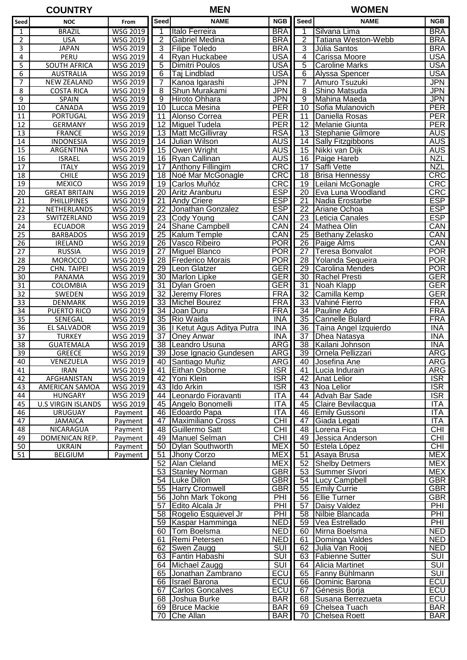| <b>COUNTRY</b> |               |             | .<br>M<br>- m. |                  | <b>WOMEN</b> |
|----------------|---------------|-------------|----------------|------------------|--------------|
| $\cdots$       | $\sim$ $\sim$ | I De 22 J I | <b>NIAME</b>   | <b>NOD HOLLA</b> | NIAME        |

| Seed            | <b>NOC</b>                | From            | <b>Seed</b>     | <b>NAME</b>                  | <b>NGB</b> | Seed            | <b>NAME</b>           | <b>NGB</b>              |
|-----------------|---------------------------|-----------------|-----------------|------------------------------|------------|-----------------|-----------------------|-------------------------|
| 1               | <b>BRAZIL</b>             | <b>WSG 2019</b> | 1               | Italo Ferreira               | <b>BRA</b> |                 | Silvana Lima          | <b>BRA</b>              |
| 2               | <b>USA</b>                | WSG 2019        | $\overline{2}$  | Gabriel Medina               | <b>BRA</b> | 2               | Tatiana Weston-Webb   | <b>BRA</b>              |
| 3               | <b>JAPAN</b>              | WSG 2019        | 3               | <b>Filipe Toledo</b>         | <b>BRA</b> | 3               | Júlia Santos          | <b>BRA</b>              |
| 4               | PERU                      | WSG 2019        | 4               | Ryan Huckabee                | <b>USA</b> | 4               | Carissa Moore         | <b>USA</b>              |
| 5               | <b>SOUTH AFRICA</b>       | WSG 2019        | 5               | Dimitri Poulos               | <b>USA</b> | 5               | <b>Caroline Marks</b> | <b>USA</b>              |
| 6               | <b>AUSTRALIA</b>          | WSG 2019        | 6               | Taj Lindblad                 | <b>USA</b> | 6               | Alyssa Spencer        | <b>USA</b>              |
| $\overline{7}$  | <b>NEW ZEALAND</b>        | <b>WSG 2019</b> | 7               | Kanoa Igarashi               | <b>JPN</b> | $\overline{7}$  | Amuro Tsuzuki         | <b>JPN</b>              |
| 8               | <b>COSTA RICA</b>         | WSG 2019        | 8               | Shun Murakami                | <b>JPN</b> | 8               | Shino Matsuda         | <b>JPN</b>              |
| $\overline{9}$  | SPAIN                     | WSG 2019        | 9               | Hiroto Ohhara                | <b>JPN</b> | 9               | Mahina Maeda          | <b>JPN</b>              |
| 10              | CANADA                    | WSG 2019        | 10              | Lucca Mesina                 | PER        | 10              | Sofia Mulanovich      | <b>PER</b>              |
| 11              | PORTUGAL                  | WSG 2019        | 11              | Alonso Correa                | PER        | 11              | Daniella Rosas        | <b>PER</b>              |
| 12              | <b>GERMANY</b>            | WSG 2019        | 12              | Miguel Tudela                | PER        | $\overline{12}$ | Melanie Giunta        | <b>PER</b>              |
| 13              | <b>FRANCE</b>             | WSG 2019        | 13              | <b>Matt McGillivray</b>      | <b>RSA</b> | 13              | Stephanie Gilmore     | <b>AUS</b>              |
| 14              | <b>INDONESIA</b>          | WSG 2019        | 14              | Julian Wilson                | <b>AUS</b> | 14              | Sally Fitzgibbons     | <b>AUS</b>              |
| $\overline{15}$ | ARGENTINA                 | WSG 2019        | 15              | Owen Wright                  | <b>AUS</b> | 15              | Nikki van Dijk        | AUS <sup>-</sup>        |
| 16              | <b>ISRAEL</b>             | WSG 2019        | 16              | Ryan Callinan                | <b>AUS</b> | 16              | Paige Hareb           | <b>NZL</b>              |
| 17              | <b>ITALY</b>              | WSG 2019        | 17              | <b>Anthony Fillingim</b>     | CRC        | 17              | Saffi Vette           | <b>NZL</b>              |
| 18              | <b>CHILE</b>              | WSG 2019        | 18              | Noé Mar McGonagle            | <b>CRC</b> | 18              | <b>Brisa Hennessy</b> | <b>CRC</b>              |
| 19              | <b>MEXICO</b>             | WSG 2019        | 19              | Carlos Muñóz                 | CRC        | 19              | Leilani McGonagle     | CRC                     |
| $\overline{20}$ | <b>GREAT BRITAIN</b>      | <b>WSG 2019</b> | 20              | Aritz Aranburu               | <b>ESP</b> | 20              | Eva Luna Woodland     | CRC                     |
| 21              | <b>PHILLIPINES</b>        | WSG 2019        | 21              | <b>Andy Criere</b>           | <b>ESP</b> | 21              | Nadia Erostarbe       | <b>ESP</b>              |
| 22              | NETHERLANDS               | <b>WSG 2019</b> | $\overline{22}$ | Jonathan Gonzalez            | <b>ESP</b> | $\overline{22}$ | Ariane Ochoa          | <b>ESP</b>              |
| 23              | SWITZERLAND               | WSG 2019        | 23              | <b>Cody Young</b>            | CAN        | $\overline{23}$ | Leticia Canales       | <b>ESP</b>              |
| 24              | <b>ECUADOR</b>            | WSG 2019        | 24              | Shane Campbell               | CAN        | 24              | Mathea Olin           | CAN                     |
| $\overline{25}$ | <b>BARBADOS</b>           | WSG 2019        | 25              | <b>Kalum Temple</b>          | CAN        | $\overline{25}$ | Bethany Zelasko       | CAN                     |
| 26              | <b>IRELAND</b>            | WSG 2019        | 26              | Vasco Ribeiro                | <b>POR</b> | 26              | Paige Alms            | CAN                     |
|                 | <b>RUSSIA</b>             |                 | 27              | <b>Miguel Blanco</b>         | <b>POR</b> | 27              | Teresa Bonvalot       | <b>POR</b>              |
| 27              |                           | WSG 2019        |                 |                              | <b>POR</b> |                 |                       | <b>POR</b>              |
| 28              | <b>MOROCCO</b>            | WSG 2019        | 28              | <b>Frederico Morais</b>      |            | 28              | Yolanda Sequeira      |                         |
| 29              | CHN. TAIPEI               | WSG 2019        | 29              | Leon Glatzer                 | <b>GER</b> | 29              | Carolina Mendes       | <b>POR</b>              |
| 30              | PANAMA                    | WSG 2019        | 30              | Marlon Lipke                 | <b>GER</b> | $\overline{30}$ | Rachel Presti         | <b>GER</b>              |
| 31              | COLOMBIA                  | <b>WSG 2019</b> | 31              | Dylan Groen                  | <b>GER</b> | 31              | Noah Klapp            | <b>GER</b>              |
| 32              | SWEDEN                    | WSG 2019        | 32              | Jeremy Flores                | <b>FRA</b> | 32              | Camilla Kemp          | <b>GER</b>              |
| 33              | DENMARK                   | WSG 2019        | 33              | Michel Bourez                | <b>FRA</b> | $\overline{33}$ | Vahiné Fierro         | <b>FRA</b>              |
| 34              | PUERTO RICO               | WSG 2019        | 34              | Joan Duru                    | <b>FRA</b> | 34              | Pauline Ado           | <b>FRA</b>              |
| 35              | SENEGAL                   | <b>WSG 2019</b> | 35              | <b>Rio Waida</b>             | <b>INA</b> | $\overline{35}$ | Cannelle Bulard       | <b>FRA</b>              |
| 36              | EL SALVADOR               | WSG 2019        |                 | 36   Ketut Agus Aditya Putra | <b>INA</b> | 36              | Taina Angel Izquierdo | <b>INA</b>              |
| 37              | <b>TURKEY</b>             | WSG 2019        | 37              | <b>Oney Anwar</b>            | <b>INA</b> | 37              | Dhea Natasya          | <b>INA</b>              |
| 38              | <b>GUATEMALA</b>          | WSG 2019        |                 | 38 Leandro Usuna             | <b>ARG</b> | $\overline{38}$ | Kailani Johnson       | <b>INA</b>              |
| 39              | <b>GREECE</b>             | WSG 2019        | 39              | Jose Ignacio Gundesen        | <b>ARG</b> | 39              | Ornela Pellizzari     | <b>ARG</b>              |
| 40              | VENEZUELA                 | WSG 2019        | 40              | Santiago Muñiz               | <b>ARG</b> | 40              | Josefina Ane          | <b>ARG</b>              |
| 41              | <b>IRAN</b>               | WSG 2019        |                 | 41 Eithan Osborne            | ISR        |                 | 41 Lucia Indurain     | ARG                     |
| 42              | AFGHANISTAN               | WSG 2019        |                 | 42 Yoni Klein                | <b>ISR</b> |                 | 42 Anat Lelior        | <b>ISR</b>              |
| 43              | AMERICAN SAMOA            | WSG 2019        |                 | 43 Ildo Arkin                | ISR        |                 | 43   Noa Lelior       | <b>ISR</b>              |
| 44              | <b>HUNGARY</b>            | WSG 2019        |                 | 44 Leonardo Fioravanti       | ITA        |                 | 44   Advah Bar Sade   | $\overline{\text{ISR}}$ |
| 45              | <b>U.S VIRGIN ISLANDS</b> | WSG 2019        |                 | 45 Angelo Bonomelli          | ITA        | 45              | Claire Bevilacqua     | <b>ITA</b>              |
| 46              | <b>URUGUAY</b>            | Payment         |                 | 46 Edoardo Papa              | <b>ITA</b> |                 | 46 Emily Gussoni      | <b>ITA</b>              |
| 47              | <b>JAMAICA</b>            | Payment         | 47              | Maximiliano Cross            | CHI        | 47              | Giada Legati          | <b>ITA</b>              |
| 48              | NICARAGUA                 | Payment         |                 | 48 Guillermo Satt            | <b>CHI</b> |                 | 48   Lorena Fica      | CHI                     |
| 49              | DOMENICAN REP.            | Payment         |                 | 49 Manuel Selman             | CHI        |                 | 49 Jessica Anderson   | CHI                     |
| 50              | <b>UKRAIN</b>             | Payment         |                 | 50   Dylan Southworth        | <b>MEX</b> |                 | 50 Estela López       | CHI                     |
| 51              | <b>BELGIUM</b>            | Payment         |                 | 51 Jhony Corzo               | <b>MEX</b> | 51              | Asaya Brusa           | <b>MEX</b>              |
|                 |                           |                 |                 | 52 Alan Cleland              | <b>MEX</b> | 52              | <b>Shelby Detmers</b> | <b>MEX</b>              |
|                 |                           |                 |                 | 53 Stanley Norman            | <b>GBR</b> | 53              | Summer Sívori         | MEX                     |
|                 |                           |                 |                 | 54 Luke Dillon               | <b>GBR</b> |                 | 54 Lucy Campbell      | <b>GBR</b>              |
|                 |                           |                 |                 | 55 Harry Cromwell            | <b>GBR</b> |                 | 55 Emily Currie       | <b>GBR</b>              |
|                 |                           |                 |                 | 56 John Mark Tokong          | PHI        |                 | 56 Ellie Turner       | <b>GBR</b>              |
|                 |                           |                 |                 | 57 Edito Alcala Jr           | PHI        | 57              | Daisy Valdez          | PHI                     |
|                 |                           |                 |                 | 58 Rogelio Esquievel Jr      | PHI        | 58              | Nilbie Blancada       | PHI                     |
|                 |                           |                 |                 | 59 Kaspar Hamminga           | <b>NED</b> |                 | 59 Vea Estrellado     | PHI                     |
|                 |                           |                 |                 | 60 Tom Boelsma               | <b>NED</b> |                 | 60 Mirna Boelsma      | <b>NED</b>              |
|                 |                           |                 |                 | 61 Remi Petersen             | <b>NED</b> | 61              | Dominga Valdes        | <b>NED</b>              |
|                 |                           |                 |                 | 62 Swen Zaugg                | <b>SUI</b> |                 | 62 Julia Van Rooij    | <b>NED</b>              |
|                 |                           |                 |                 | 63 Fantin Habashi            | <b>SUI</b> |                 | 63   Fabienne Sutter  | SUI                     |
|                 |                           |                 |                 | 64 Michael Zaugg             | $S$ UI     |                 | 64 Alicia Martinet    | <b>SUI</b>              |
|                 |                           |                 |                 | 65 Jonathan Zambrano         | ECU        |                 | 65 Fanny Bühlmann     | $\overline{\text{SUI}}$ |
|                 |                           |                 |                 | 66 Israel Barona             | ECU        |                 | 66 Dominic Barona     | ECU                     |
|                 |                           |                 |                 | 67 Carlos Goncalves          | ECU        | 67              | Génesis Borja         | ECU                     |
|                 |                           |                 |                 | 68 Joshua Burke              | <b>BAR</b> | 68              | Susana Berrezueta     | ECU                     |
|                 |                           |                 |                 | 69 Bruce Mackie              | <b>BAR</b> |                 | 69 Chelsea Tuach      | <b>BAR</b>              |
|                 |                           |                 |                 | 70 Che Allan                 | <b>BAR</b> |                 | 70 Chelsea Roett      | <b>BAR</b>              |